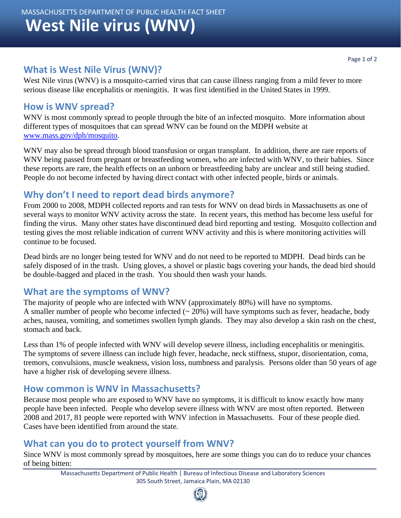## **What is West Nile Virus (WNV)?**

West Nile virus (WNV) is a mosquito-carried virus that can cause illness ranging from a mild fever to more serious disease like encephalitis or meningitis. It was first identified in the United States in 1999.

### **How is WNV spread?**

WNV is most commonly spread to people through the bite of an infected mosquito. More information about different types of mosquitoes that can spread WNV can be found on the MDPH website at [www.mass.gov/dph/mosquito.](file:///C:/Users/CBrown1/Desktop/Mosquito-borne%20web%20page/www.mass.gov/dph/mosquito)

WNV may also be spread through blood transfusion or organ transplant. In addition, there are rare reports of WNV being passed from pregnant or breastfeeding women, who are infected with WNV, to their babies. Since these reports are rare, the health effects on an unborn or breastfeeding baby are unclear and still being studied. People do not become infected by having direct contact with other infected people, birds or animals.

## **Why don't I need to report dead birds anymore?**

From 2000 to 2008, MDPH collected reports and ran tests for WNV on dead birds in Massachusetts as one of several ways to monitor WNV activity across the state. In recent years, this method has become less useful for finding the virus. Many other states have discontinued dead bird reporting and testing. Mosquito collection and testing gives the most reliable indication of current WNV activity and this is where monitoring activities will continue to be focused.

Dead birds are no longer being tested for WNV and do not need to be reported to MDPH. Dead birds can be safely disposed of in the trash. Using gloves, a shovel or plastic bags covering your hands, the dead bird should be double-bagged and placed in the trash. You should then wash your hands.

### **What are the symptoms of WNV?**

The majority of people who are infected with WNV (approximately 80%) will have no symptoms. A smaller number of people who become infected  $(20\%)$  will have symptoms such as fever, headache, body aches, nausea, vomiting, and sometimes swollen lymph glands. They may also develop a skin rash on the chest, stomach and back.

Less than 1% of people infected with WNV will develop severe illness, including encephalitis or meningitis. The symptoms of severe illness can include high fever, headache, neck stiffness, stupor, disorientation, coma, tremors, convulsions, muscle weakness, vision loss, numbness and paralysis. Persons older than 50 years of age have a higher risk of developing severe illness.

### **How common is WNV in Massachusetts?**

Because most people who are exposed to WNV have no symptoms, it is difficult to know exactly how many people have been infected. People who develop severe illness with WNV are most often reported. Between 2008 and 2017, 81 people were reported with WNV infection in Massachusetts. Four of these people died. Cases have been identified from around the state.

# **What can you do to protect yourself from WNV?**

Since WNV is most commonly spread by mosquitoes, here are some things you can do to reduce your chances of being bitten: